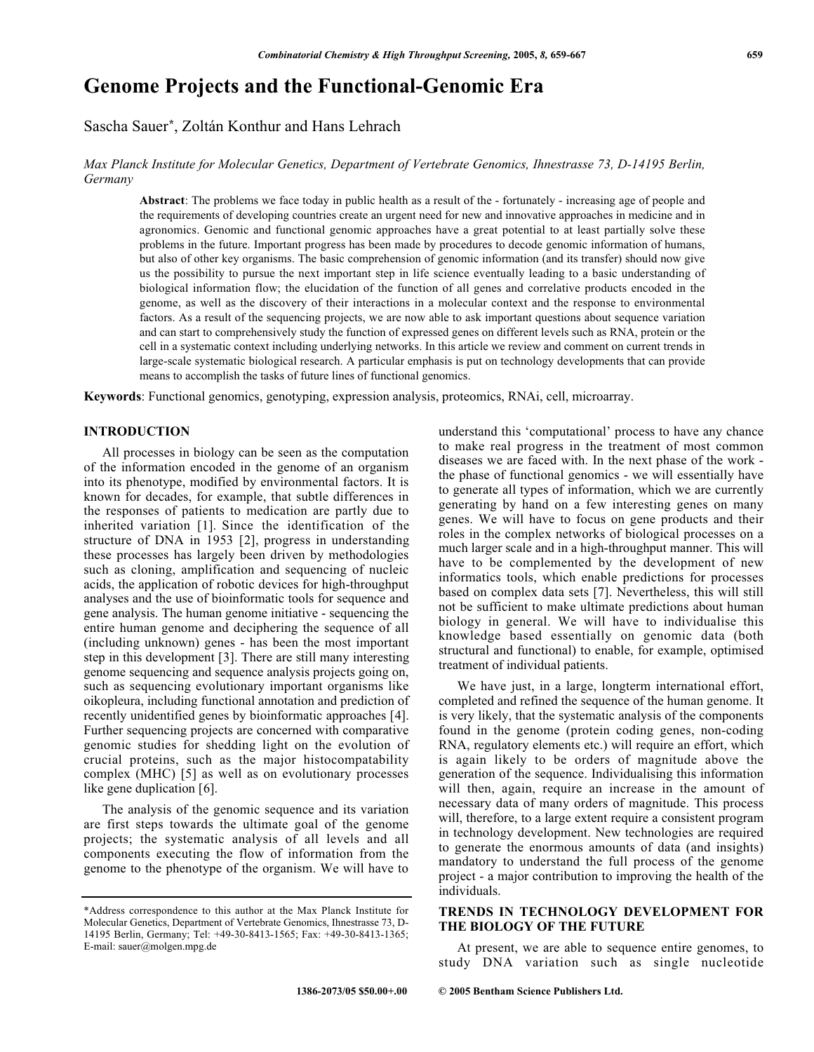# **Genome Projects and the Functional-Genomic Era**

Sascha Sauer\*, Zoltán Konthur and Hans Lehrach

Max Planck Institute for Molecular Genetics, Department of Vertebrate Genomics, Ihnestrasse 73, D-14195 Berlin, Germany

Abstract: The problems we face today in public health as a result of the - fortunately - increasing age of people and the requirements of developing countries create an urgent need for new and innovative approaches in medicine and in agronomics. Genomic and functional genomic approaches have a great potential to at least partially solve these problems in the future. Important progress has been made by procedures to decode genomic information of humans, but also of other key organisms. The basic comprehension of genomic information (and its transfer) should now give us the possibility to pursue the next important step in life science eventually leading to a basic understanding of biological information flow; the elucidation of the function of all genes and correlative products encoded in the genome, as well as the discovery of their interactions in a molecular context and the response to environmental factors. As a result of the sequencing projects, we are now able to ask important questions about sequence variation and can start to comprehensively study the function of expressed genes on different levels such as RNA, protein or the cell in a systematic context including underlying networks. In this article we review and comment on current trends in large-scale systematic biological research. A particular emphasis is put on technology developments that can provide means to accomplish the tasks of future lines of functional genomics.

Keywords: Functional genomics, genotyping, expression analysis, proteomics, RNAi, cell, microarray.

## **INTRODUCTION**

All processes in biology can be seen as the computation of the information encoded in the genome of an organism into its phenotype, modified by environmental factors. It is known for decades, for example, that subtle differences in the responses of patients to medication are partly due to inherited variation [1]. Since the identification of the structure of DNA in 1953 [2], progress in understanding these processes has largely been driven by methodologies such as cloning, amplification and sequencing of nucleic acids, the application of robotic devices for high-throughput analyses and the use of bioinformatic tools for sequence and gene analysis. The human genome initiative - sequencing the entire human genome and deciphering the sequence of all (including unknown) genes - has been the most important step in this development [3]. There are still many interesting genome sequencing and sequence analysis projects going on, such as sequencing evolutionary important organisms like oikopleura, including functional annotation and prediction of recently unidentified genes by bioinformatic approaches [4]. Further sequencing projects are concerned with comparative genomic studies for shedding light on the evolution of crucial proteins, such as the major histocompatability complex (MHC) [5] as well as on evolutionary processes like gene duplication [6].

The analysis of the genomic sequence and its variation are first steps towards the ultimate goal of the genome projects; the systematic analysis of all levels and all components executing the flow of information from the genome to the phenotype of the organism. We will have to understand this 'computational' process to have any chance to make real progress in the treatment of most common diseases we are faced with. In the next phase of the work the phase of functional genomics - we will essentially have to generate all types of information, which we are currently generating by hand on a few interesting genes on many genes. We will have to focus on gene products and their roles in the complex networks of biological processes on a much larger scale and in a high-throughput manner. This will have to be complemented by the development of new informatics tools, which enable predictions for processes based on complex data sets [7]. Nevertheless, this will still not be sufficient to make ultimate predictions about human biology in general. We will have to individualise this knowledge based essentially on genomic data (both structural and functional) to enable, for example, optimised treatment of individual patients.

We have just, in a large, longterm international effort, completed and refined the sequence of the human genome. It is very likely, that the systematic analysis of the components found in the genome (protein coding genes, non-coding RNA, regulatory elements etc.) will require an effort, which is again likely to be orders of magnitude above the generation of the sequence. Individualising this information will then, again, require an increase in the amount of necessary data of many orders of magnitude. This process will, therefore, to a large extent require a consistent program in technology development. New technologies are required to generate the enormous amounts of data (and insights) mandatory to understand the full process of the genome project - a major contribution to improving the health of the individuals.

# TRENDS IN TECHNOLOGY DEVELOPMENT FOR THE BIOLOGY OF THE FUTURE

At present, we are able to sequence entire genomes, to study DNA variation such as single nucleotide

<sup>\*</sup>Address correspondence to this author at the Max Planck Institute for Molecular Genetics, Department of Vertebrate Genomics, Ihnestrasse 73, D-14195 Berlin, Germany; Tel: +49-30-8413-1565; Fax: +49-30-8413-1365; E-mail: sauer@molgen.mpg.de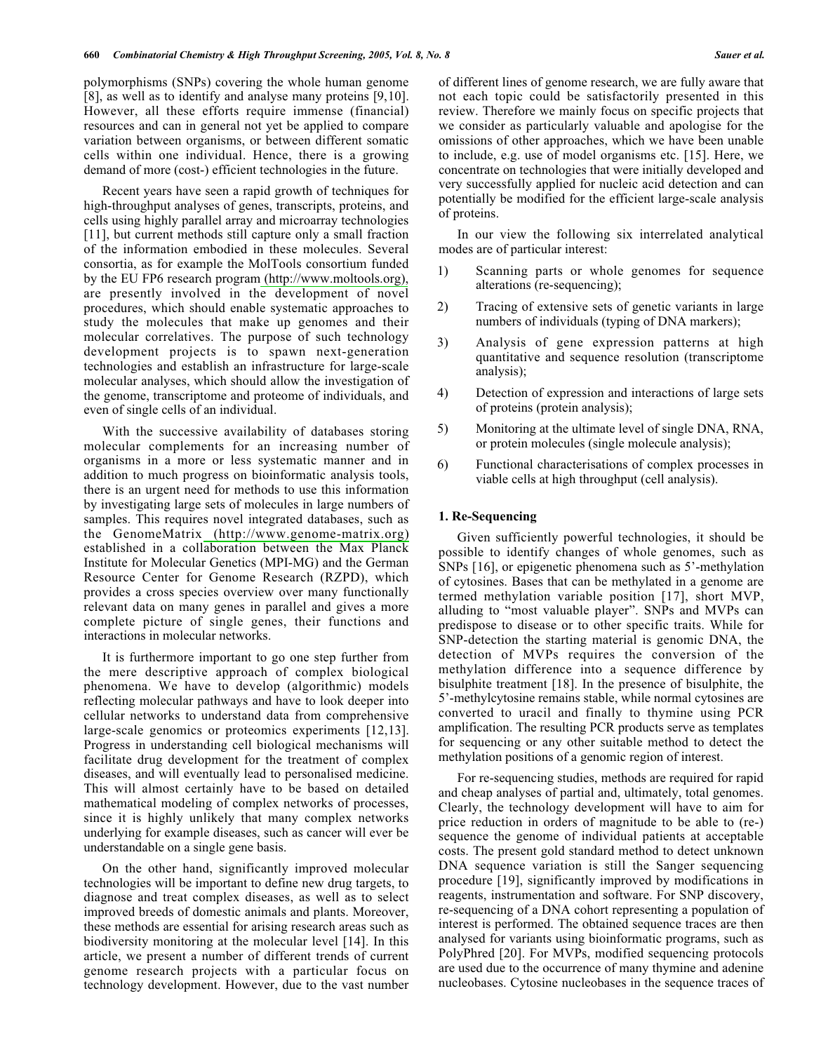polymorphisms (SNPs) covering the whole human genome [8], as well as to identify and analyse many proteins [9,10]. However, all these efforts require immense (financial) resources and can in general not yet be applied to compare variation between organisms, or between different somatic cells within one individual. Hence, there is a growing demand of more (cost-) efficient technologies in the future.

Recent years have seen a rapid growth of techniques for high-throughput analyses of genes, transcripts, proteins, and cells using highly parallel array and microarray technologies [11], but current methods still capture only a small fraction of the information embodied in these molecules. Several consortia, as for example the MolTools consortium funded by the EU FP6 research program (http://www.moltools.org), are presently involved in the development of novel procedures, which should enable systematic approaches to study the molecules that make up genomes and their molecular correlatives. The purpose of such technology development projects is to spawn next-generation technologies and establish an infrastructure for large-scale molecular analyses, which should allow the investigation of the genome, transcriptome and proteome of individuals, and even of single cells of an individual.

With the successive availability of databases storing molecular complements for an increasing number of organisms in a more or less systematic manner and in addition to much progress on bioinformatic analysis tools, there is an urgent need for methods to use this information by investigating large sets of molecules in large numbers of samples. This requires novel integrated databases, such as the GenomeMatrix (http://www.genome-matrix.org) established in a collaboration between the Max Planck Institute for Molecular Genetics (MPI-MG) and the German Resource Center for Genome Research (RZPD), which provides a cross species overview over many functionally relevant data on many genes in parallel and gives a more complete picture of single genes, their functions and interactions in molecular networks.

It is furthermore important to go one step further from the mere descriptive approach of complex biological phenomena. We have to develop (algorithmic) models reflecting molecular pathways and have to look deeper into cellular networks to understand data from comprehensive large-scale genomics or proteomics experiments [12,13]. Progress in understanding cell biological mechanisms will facilitate drug development for the treatment of complex diseases, and will eventually lead to personalised medicine. This will almost certainly have to be based on detailed mathematical modeling of complex networks of processes, since it is highly unlikely that many complex networks underlying for example diseases, such as cancer will ever be understandable on a single gene basis.

On the other hand, significantly improved molecular technologies will be important to define new drug targets, to diagnose and treat complex diseases, as well as to select improved breeds of domestic animals and plants. Moreover, these methods are essential for arising research areas such as biodiversity monitoring at the molecular level [14]. In this article, we present a number of different trends of current genome research projects with a particular focus on technology development. However, due to the vast number of different lines of genome research, we are fully aware that not each topic could be satisfactorily presented in this review. Therefore we mainly focus on specific projects that we consider as particularly valuable and apologise for the omissions of other approaches, which we have been unable to include, e.g. use of model organisms etc. [15]. Here, we concentrate on technologies that were initially developed and very successfully applied for nucleic acid detection and can potentially be modified for the efficient large-scale analysis of proteins.

In our view the following six interrelated analytical modes are of particular interest:

- Scanning parts or whole genomes for sequence  $\left( \right)$ alterations (re-sequencing);
- Tracing of extensive sets of genetic variants in large 2) numbers of individuals (typing of DNA markers);
- $3)$ Analysis of gene expression patterns at high quantitative and sequence resolution (transcriptome analysis);
- $4)$ Detection of expression and interactions of large sets of proteins (protein analysis);
- Monitoring at the ultimate level of single DNA, RNA, 5) or protein molecules (single molecule analysis);
- 6) Functional characterisations of complex processes in viable cells at high throughput (cell analysis).

## 1. Re-Sequencing

Given sufficiently powerful technologies, it should be possible to identify changes of whole genomes, such as SNPs [16], or epigenetic phenomena such as 5'-methylation of cytosines. Bases that can be methylated in a genome are termed methylation variable position [17], short MVP, alluding to "most valuable player". SNPs and MVPs can predispose to disease or to other specific traits. While for SNP-detection the starting material is genomic DNA, the detection of MVPs requires the conversion of the methylation difference into a sequence difference by bisulphite treatment [18]. In the presence of bisulphite, the 5'-methylcytosine remains stable, while normal cytosines are converted to uracil and finally to thymine using PCR amplification. The resulting PCR products serve as templates for sequencing or any other suitable method to detect the methylation positions of a genomic region of interest.

For re-sequencing studies, methods are required for rapid and cheap analyses of partial and, ultimately, total genomes. Clearly, the technology development will have to aim for price reduction in orders of magnitude to be able to (re-) sequence the genome of individual patients at acceptable costs. The present gold standard method to detect unknown DNA sequence variation is still the Sanger sequencing procedure [19], significantly improved by modifications in reagents, instrumentation and software. For SNP discovery, re-sequencing of a DNA cohort representing a population of interest is performed. The obtained sequence traces are then analysed for variants using bioinformatic programs, such as PolyPhred [20]. For MVPs, modified sequencing protocols are used due to the occurrence of many thymine and adenine nucleobases. Cytosine nucleobases in the sequence traces of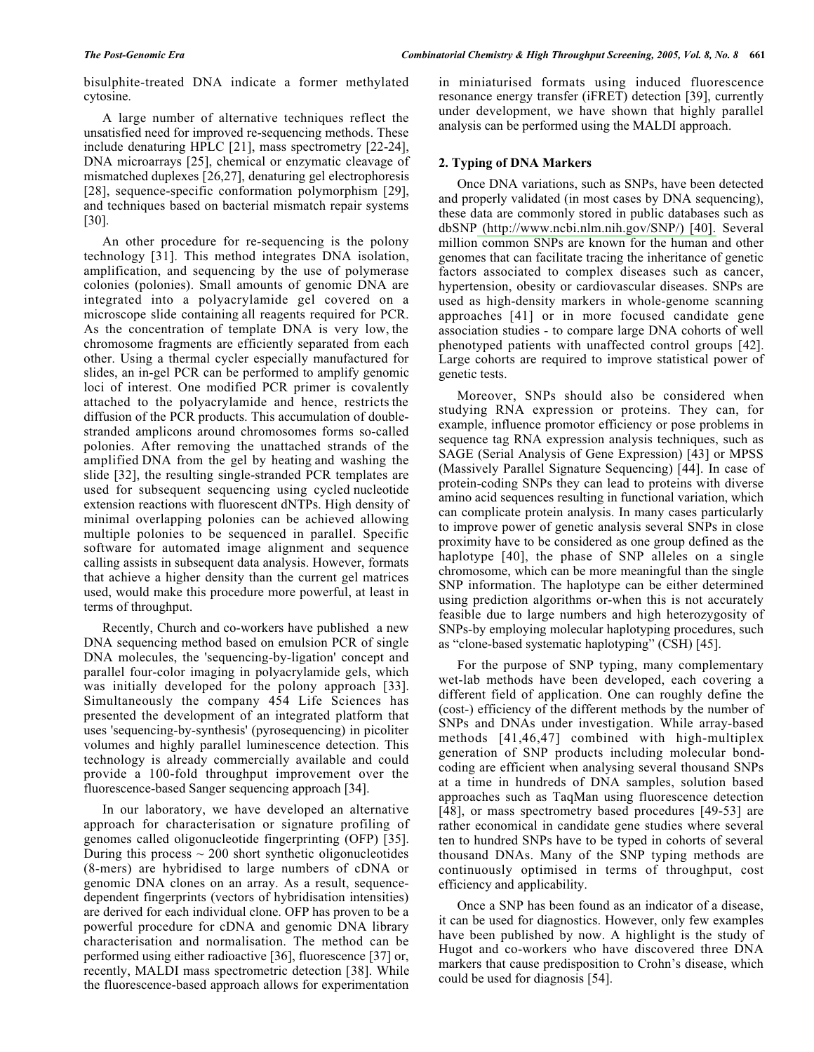A large number of alternative techniques reflect the unsatisfied need for improved re-sequencing methods. These include denaturing HPLC [21], mass spectrometry [22-24], DNA microarrays [25], chemical or enzymatic cleavage of mismatched duplexes [26,27], denaturing gel electrophoresis [28], sequence-specific conformation polymorphism [29], and techniques based on bacterial mismatch repair systems  $[30]$ .

An other procedure for re-sequencing is the polony technology [31]. This method integrates DNA isolation, amplification, and sequencing by the use of polymerase colonies (polonies). Small amounts of genomic DNA are integrated into a polyacrylamide gel covered on a microscope slide containing all reagents required for PCR. As the concentration of template DNA is very low, the chromosome fragments are efficiently separated from each other. Using a thermal cycler especially manufactured for slides, an in-gel PCR can be performed to amplify genomic loci of interest. One modified PCR primer is covalently attached to the polyacrylamide and hence, restricts the diffusion of the PCR products. This accumulation of doublestranded amplicons around chromosomes forms so-called polonies. After removing the unattached strands of the amplified DNA from the gel by heating and washing the slide [32], the resulting single-stranded PCR templates are used for subsequent sequencing using cycled nucleotide extension reactions with fluorescent dNTPs. High density of minimal overlapping polonies can be achieved allowing multiple polonies to be sequenced in parallel. Specific software for automated image alignment and sequence calling assists in subsequent data analysis. However, formats that achieve a higher density than the current gel matrices used, would make this procedure more powerful, at least in terms of throughput.

Recently, Church and co-workers have published a new DNA sequencing method based on emulsion PCR of single DNA molecules, the 'sequencing-by-ligation' concept and parallel four-color imaging in polyacrylamide gels, which was initially developed for the polony approach [33]. Simultaneously the company 454 Life Sciences has presented the development of an integrated platform that uses 'sequencing-by-synthesis' (pyrosequencing) in picoliter volumes and highly parallel luminescence detection. This technology is already commercially available and could provide a 100-fold throughput improvement over the fluorescence-based Sanger sequencing approach [34].

In our laboratory, we have developed an alternative approach for characterisation or signature profiling of genomes called oligonucleotide fingerprinting (OFP) [35]. During this process  $\sim 200$  short synthetic oligonucleotides (8-mers) are hybridised to large numbers of cDNA or genomic DNA clones on an array. As a result, sequencedependent fingerprints (vectors of hybridisation intensities) are derived for each individual clone. OFP has proven to be a powerful procedure for cDNA and genomic DNA library characterisation and normalisation. The method can be performed using either radioactive [36], fluorescence [37] or, recently, MALDI mass spectrometric detection [38]. While the fluorescence-based approach allows for experimentation

in miniaturised formats using induced fluorescence resonance energy transfer (iFRET) detection [39], currently under development, we have shown that highly parallel analysis can be performed using the MALDI approach.

## 2. Typing of DNA Markers

Once DNA variations, such as SNPs, have been detected and properly validated (in most cases by DNA sequencing), these data are commonly stored in public databases such as dbSNP (http://www.ncbi.nlm.nih.gov/SNP/) [40]. Several million common SNPs are known for the human and other genomes that can facilitate tracing the inheritance of genetic factors associated to complex diseases such as cancer, hypertension, obesity or cardiovascular diseases. SNPs are used as high-density markers in whole-genome scanning approaches [41] or in more focused candidate gene association studies - to compare large DNA cohorts of well phenotyped patients with unaffected control groups [42]. Large cohorts are required to improve statistical power of genetic tests.

Moreover, SNPs should also be considered when studying RNA expression or proteins. They can, for example, influence promotor efficiency or pose problems in sequence tag RNA expression analysis techniques, such as SAGE (Serial Analysis of Gene Expression) [43] or MPSS (Massively Parallel Signature Sequencing) [44]. In case of protein-coding SNPs they can lead to proteins with diverse amino acid sequences resulting in functional variation, which can complicate protein analysis. In many cases particularly to improve power of genetic analysis several SNPs in close proximity have to be considered as one group defined as the haplotype [40], the phase of SNP alleles on a single chromosome, which can be more meaningful than the single SNP information. The haplotype can be either determined using prediction algorithms or-when this is not accurately feasible due to large numbers and high heterozygosity of SNPs-by employing molecular haplotyping procedures, such as "clone-based systematic haplotyping" (CSH) [45].

For the purpose of SNP typing, many complementary wet-lab methods have been developed, each covering a different field of application. One can roughly define the (cost-) efficiency of the different methods by the number of SNPs and DNAs under investigation. While array-based methods [41,46,47] combined with high-multiplex generation of SNP products including molecular bondcoding are efficient when analysing several thousand SNPs at a time in hundreds of DNA samples, solution based approaches such as TaqMan using fluorescence detection [48], or mass spectrometry based procedures [49-53] are rather economical in candidate gene studies where several ten to hundred SNPs have to be typed in cohorts of several thousand DNAs. Many of the SNP typing methods are continuously optimised in terms of throughput, cost efficiency and applicability.

Once a SNP has been found as an indicator of a disease, it can be used for diagnostics. However, only few examples have been published by now. A highlight is the study of Hugot and co-workers who have discovered three DNA markers that cause predisposition to Crohn's disease, which could be used for diagnosis [54].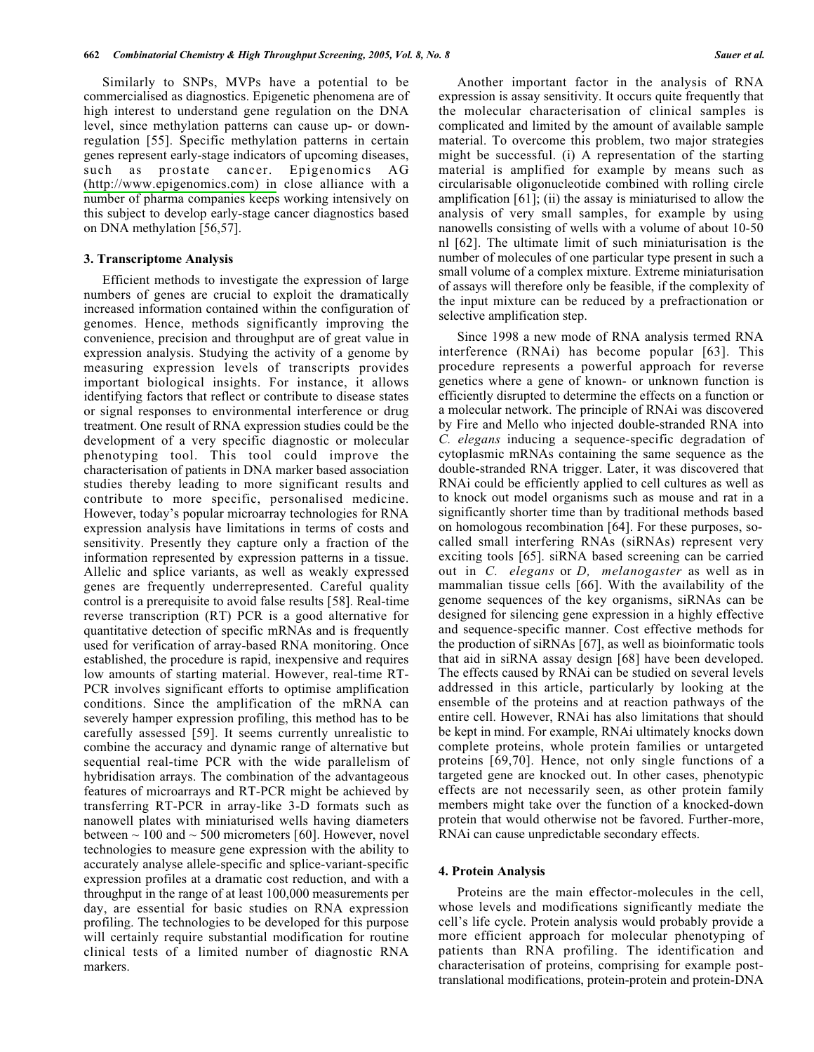Similarly to SNPs, MVPs have a potential to be commercialised as diagnostics. Epigenetic phenomena are of high interest to understand gene regulation on the DNA level, since methylation patterns can cause up- or downregulation [55]. Specific methylation patterns in certain genes represent early-stage indicators of upcoming diseases, such as prostate cancer. Epigenomics AG (http://www.epigenomics.com) in close alliance with a number of pharma companies keeps working intensively on this subject to develop early-stage cancer diagnostics based on DNA methylation [56,57].

#### 3. Transcriptome Analysis

Efficient methods to investigate the expression of large numbers of genes are crucial to exploit the dramatically increased information contained within the configuration of genomes. Hence, methods significantly improving the convenience, precision and throughput are of great value in expression analysis. Studying the activity of a genome by measuring expression levels of transcripts provides important biological insights. For instance, it allows identifying factors that reflect or contribute to disease states or signal responses to environmental interference or drug treatment. One result of RNA expression studies could be the development of a very specific diagnostic or molecular phenotyping tool. This tool could improve the characterisation of patients in DNA marker based association studies thereby leading to more significant results and contribute to more specific, personalised medicine. However, today's popular microarray technologies for RNA expression analysis have limitations in terms of costs and sensitivity. Presently they capture only a fraction of the information represented by expression patterns in a tissue. Allelic and splice variants, as well as weakly expressed genes are frequently underrepresented. Careful quality control is a prerequisite to avoid false results [58]. Real-time reverse transcription (RT) PCR is a good alternative for quantitative detection of specific mRNAs and is frequently used for verification of array-based RNA monitoring. Once established, the procedure is rapid, inexpensive and requires low amounts of starting material. However, real-time RT-PCR involves significant efforts to optimise amplification conditions. Since the amplification of the mRNA can severely hamper expression profiling, this method has to be carefully assessed [59]. It seems currently unrealistic to combine the accuracy and dynamic range of alternative but sequential real-time PCR with the wide parallelism of hybridisation arrays. The combination of the advantageous features of microarrays and RT-PCR might be achieved by transferring RT-PCR in array-like 3-D formats such as nanowell plates with miniaturised wells having diameters between  $\sim$  100 and  $\sim$  500 micrometers [60]. However, novel technologies to measure gene expression with the ability to accurately analyse allele-specific and splice-variant-specific expression profiles at a dramatic cost reduction, and with a throughput in the range of at least 100,000 measurements per day, are essential for basic studies on RNA expression profiling. The technologies to be developed for this purpose will certainly require substantial modification for routine clinical tests of a limited number of diagnostic RNA markers.

Another important factor in the analysis of RNA expression is assay sensitivity. It occurs quite frequently that the molecular characterisation of clinical samples is complicated and limited by the amount of available sample material. To overcome this problem, two major strategies might be successful. (i) A representation of the starting material is amplified for example by means such as circularisable oligonucleotide combined with rolling circle amplification  $[61]$ ; (ii) the assay is miniaturised to allow the analysis of very small samples, for example by using nanowells consisting of wells with a volume of about 10-50 nl [62]. The ultimate limit of such miniaturisation is the number of molecules of one particular type present in such a small volume of a complex mixture. Extreme miniaturisation of assays will therefore only be feasible, if the complexity of the input mixture can be reduced by a prefractionation or selective amplification step.

Since 1998 a new mode of RNA analysis termed RNA interference (RNAi) has become popular [63]. This procedure represents a powerful approach for reverse genetics where a gene of known- or unknown function is efficiently disrupted to determine the effects on a function or a molecular network. The principle of RNAi was discovered by Fire and Mello who injected double-stranded RNA into C. elegans inducing a sequence-specific degradation of cytoplasmic mRNAs containing the same sequence as the double-stranded RNA trigger. Later, it was discovered that RNAi could be efficiently applied to cell cultures as well as to knock out model organisms such as mouse and rat in a significantly shorter time than by traditional methods based on homologous recombination [64]. For these purposes, socalled small interfering RNAs (siRNAs) represent very exciting tools [65]. siRNA based screening can be carried out in C. elegans or D, melanogaster as well as in mammalian tissue cells [66]. With the availability of the genome sequences of the key organisms, siRNAs can be designed for silencing gene expression in a highly effective and sequence-specific manner. Cost effective methods for the production of siRNAs [67], as well as bioinformatic tools that aid in siRNA assay design [68] have been developed. The effects caused by RNAi can be studied on several levels addressed in this article, particularly by looking at the ensemble of the proteins and at reaction pathways of the entire cell. However, RNAi has also limitations that should be kept in mind. For example, RNA iultimately knocks down complete proteins, whole protein families or untargeted proteins [69,70]. Hence, not only single functions of a targeted gene are knocked out. In other cases, phenotypic effects are not necessarily seen, as other protein family members might take over the function of a knocked-down protein that would otherwise not be favored. Further-more, RNAi can cause unpredictable secondary effects.

#### 4. Protein Analysis

Proteins are the main effector-molecules in the cell, whose levels and modifications significantly mediate the cell's life cycle. Protein analysis would probably provide a more efficient approach for molecular phenotyping of patients than RNA profiling. The identification and characterisation of proteins, comprising for example posttranslational modifications, protein-protein and protein-DNA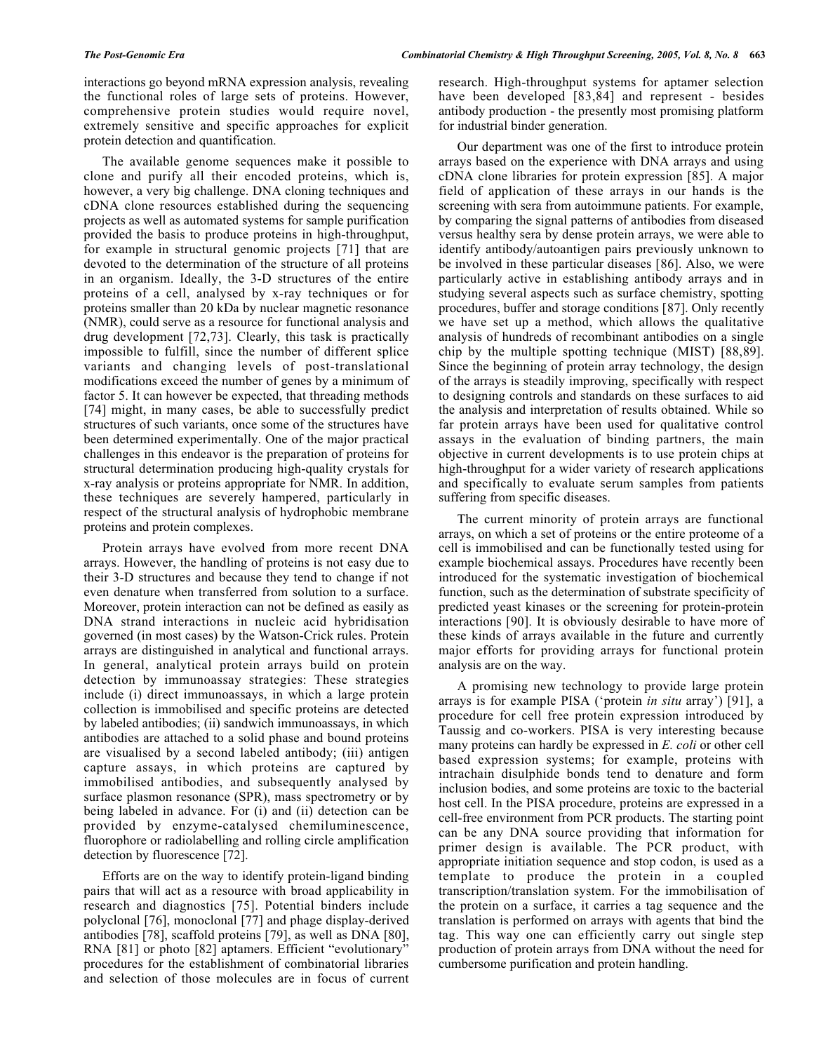interactions go beyond mRNA expression analysis, revealing the functional roles of large sets of proteins. However, comprehensive protein studies would require novel, extremely sensitive and specific approaches for explicit protein detection and quantification.

The available genome sequences make it possible to clone and purify all their encoded proteins, which is, however, a very big challenge. DNA cloning techniques and cDNA clone resources established during the sequencing projects as well as automated systems for sample purification provided the basis to produce proteins in high-throughput, for example in structural genomic projects [71] that are devoted to the determination of the structure of all proteins in an organism. Ideally, the 3-D structures of the entire proteins of a cell, analysed by x-ray techniques or for proteins smaller than 20 kDa by nuclear magnetic resonance (NMR), could serve as a resource for functional analysis and drug development [72,73]. Clearly, this task is practically impossible to fulfill, since the number of different splice variants and changing levels of post-translational modifications exceed the number of genes by a minimum of factor 5. It can however be expected, that threading methods [74] might, in many cases, be able to successfully predict structures of such variants, once some of the structures have been determined experimentally. One of the major practical challenges in this endeavor is the preparation of proteins for structural determination producing high-quality crystals for x-ray analysis or proteins appropriate for NMR. In addition, these techniques are severely hampered, particularly in respect of the structural analysis of hydrophobic membrane proteins and protein complexes.

Protein arrays have evolved from more recent DNA arrays. However, the handling of proteins is not easy due to their 3-D structures and because they tend to change if not even denature when transferred from solution to a surface. Moreover, protein interaction can not be defined as easily as DNA strand interactions in nucleic acid hybridisation governed (in most cases) by the Watson-Crick rules. Protein arrays are distinguished in analytical and functional arrays. In general, analytical protein arrays build on protein detection by immunoassay strategies: These strategies include (i) direct immunoassays, in which a large protein collection is immobilised and specific proteins are detected by labeled antibodies; (ii) sandwich immunoassays, in which antibodies are attached to a solid phase and bound proteins are visualised by a second labeled antibody; (iii) antigen capture assays, in which proteins are captured by immobilised antibodies, and subsequently analysed by surface plasmon resonance (SPR), mass spectrometry or by being labeled in advance. For (i) and (ii) detection can be provided by enzyme-catalysed chemiluminescence, fluorophore or radiolabelling and rolling circle amplification detection by fluorescence [72].

Efforts are on the way to identify protein-ligand binding pairs that will act as a resource with broad applicability in research and diagnostics [75]. Potential binders include polyclonal [76], monoclonal [77] and phage display-derived antibodies [78], scaffold proteins [79], as well as DNA [80], RNA [81] or photo [82] aptamers. Efficient "evolutionary" procedures for the establishment of combinatorial libraries and selection of those molecules are in focus of current research. High-throughput systems for aptamer selection have been developed [83,84] and represent - besides antibody production - the presently most promising platform for industrial binder generation.

Our department was one of the first to introduce protein arrays based on the experience with DNA arrays and using cDNA clone libraries for protein expression [85]. A major field of application of these arrays in our hands is the screening with sera from autoimmune patients. For example, by comparing the signal patterns of antibodies from diseased versus healthy sera by dense protein arrays, we were able to identify antibody/autoantigen pairs previously unknown to be involved in these particular diseases [86]. Also, we were particularly active in establishing antibody arrays and in studying several aspects such as surface chemistry, spotting procedures, buffer and storage conditions [87]. Only recently we have set up a method, which allows the qualitative analysis of hundreds of recombinant antibodies on a single chip by the multiple spotting technique (MIST) [88,89]. Since the beginning of protein array technology, the design of the arrays is steadily improving, specifically with respect to designing controls and standards on these surfaces to aid the analysis and interpretation of results obtained. While so far protein arrays have been used for qualitative control assays in the evaluation of binding partners, the main objective in current developments is to use protein chips at high-throughput for a wider variety of research applications and specifically to evaluate serum samples from patients suffering from specific diseases.

The current minority of protein arrays are functional arrays, on which a set of proteins or the entire proteome of a cell is immobilised and can be functionally tested using for example biochemical assays. Procedures have recently been introduced for the systematic investigation of biochemical function, such as the determination of substrate specificity of predicted yeast kinases or the screening for protein-protein interactions [90]. It is obviously desirable to have more of these kinds of arrays available in the future and currently major efforts for providing arrays for functional protein analysis are on the way.

A promising new technology to provide large protein arrays is for example PISA ('protein *in situ* array') [91], a procedure for cell free protein expression introduced by Taussig and co-workers. PISA is very interesting because many proteins can hardly be expressed in E. coli or other cell based expression systems; for example, proteins with intrachain disulphide bonds tend to denature and form inclusion bodies, and some proteins are toxic to the bacterial host cell. In the PISA procedure, proteins are expressed in a cell-free environment from PCR products. The starting point can be any DNA source providing that information for primer design is available. The PCR product, with appropriate initiation sequence and stop codon, is used as a template to produce the protein in a coupled transcription/translation system. For the immobilisation of the protein on a surface, it carries a tag sequence and the translation is performed on arrays with agents that bind the tag. This way one can efficiently carry out single step production of protein arrays from DNA without the need for cumbersome purification and protein handling.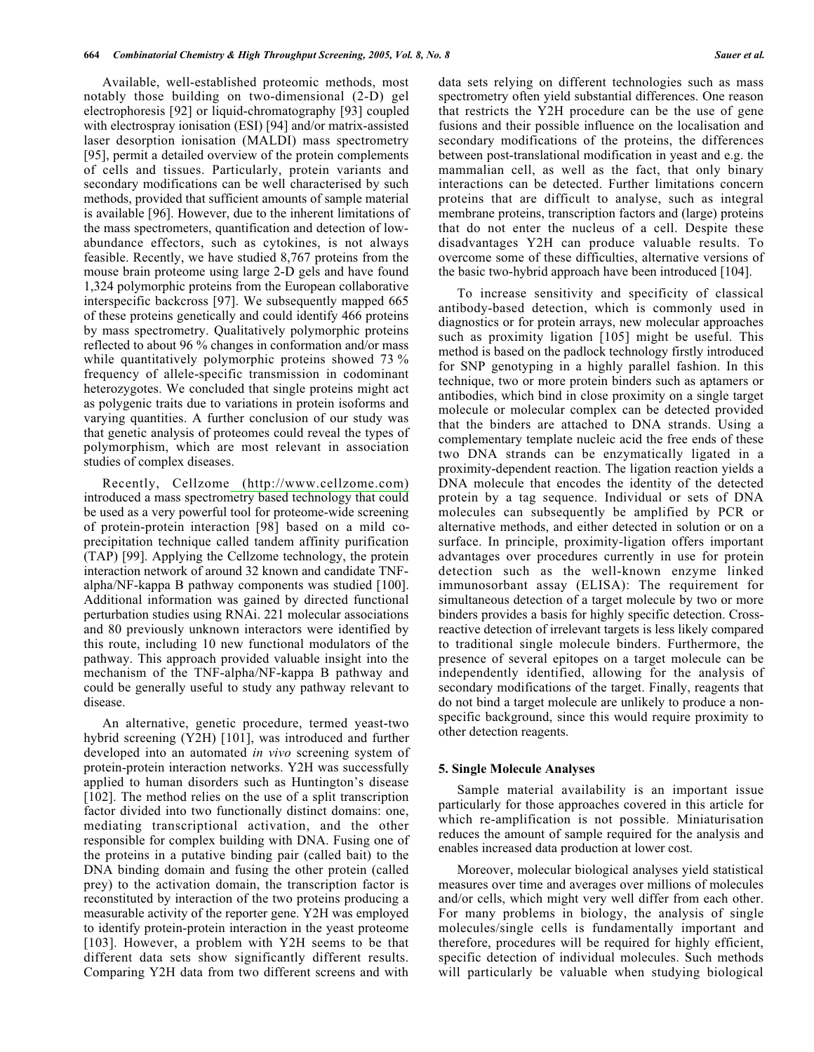Available, well-established proteomic methods, most notably those building on two-dimensional (2-D) gel electrophoresis [92] or liquid-chromatography [93] coupled with electrospray ionisation (ESI) [94] and/or matrix-assisted laser desorption ionisation (MALDI) mass spectrometry [95], permit a detailed overview of the protein complements of cells and tissues. Particularly, protein variants and secondary modifications can be well characterised by such methods, provided that sufficient amounts of sample material is available [96]. However, due to the inherent limitations of the mass spectrometers, quantification and detection of lowabundance effectors, such as cytokines, is not always feasible. Recently, we have studied 8,767 proteins from the mouse brain proteome using large 2-D gels and have found 1,324 polymorphic proteins from the European collaborative interspecific backcross [97]. We subsequently mapped 665 of these proteins genetically and could identify 466 proteins by mass spectrometry. Qualitatively polymorphic proteins reflected to about 96 % changes in conformation and/or mass while quantitatively polymorphic proteins showed 73 % frequency of allele-specific transmission in codominant heterozygotes. We concluded that single proteins might act as polygenic traits due to variations in protein isoforms and varying quantities. A further conclusion of our study was that genetic analysis of proteomes could reveal the types of polymorphism, which are most relevant in association studies of complex diseases.

Recently, Cellzome (http://www.cellzome.com) introduced a mass spectrometry based technology that could be used as a very powerful tool for proteome-wide screening of protein-protein interaction [98] based on a mild coprecipitation technique called tandem affinity purification (TAP) [99]. Applying the Cellzome technology, the protein interaction network of around 32 known and candidate TNFalpha/NF-kappa B pathway components was studied [100]. Additional information was gained by directed functional perturbation studies using RNAi. 221 molecular associations and 80 previously unknown interactors were identified by this route, including 10 new functional modulators of the pathway. This approach provided valuable insight into the mechanism of the TNF-alpha/NF-kappa B pathway and could be generally useful to study any pathway relevant to disease.

An alternative, genetic procedure, termed yeast-two hybrid screening (Y2H) [101], was introduced and further developed into an automated *in vivo* screening system of protein-protein interaction networks. Y2H was successfully applied to human disorders such as Huntington's disease [102]. The method relies on the use of a split transcription factor divided into two functionally distinct domains: one, mediating transcriptional activation, and the other responsible for complex building with DNA. Fusing one of the proteins in a putative binding pair (called bait) to the DNA binding domain and fusing the other protein (called prey) to the activation domain, the transcription factor is reconstituted by interaction of the two proteins producing a measurable activity of the reporter gene. Y2H was employed to identify protein-protein interaction in the yeast proteome [103]. However, a problem with Y2H seems to be that different data sets show significantly different results. Comparing Y2H data from two different screens and with

data sets relying on different technologies such as mass spectrometry often yield substantial differences. One reason that restricts the Y2H procedure can be the use of gene fusions and their possible influence on the localisation and secondary modifications of the proteins, the differences between post-translational modification in yeast and e.g. the mammalian cell, as well as the fact, that only binary interactions can be detected. Further limitations concern proteins that are difficult to analyse, such as integral membrane proteins, transcription factors and (large) proteins that do not enter the nucleus of a cell. Despite these disadvantages Y2H can produce valuable results. To overcome some of these difficulties, alternative versions of the basic two-hybrid approach have been introduced [104].

To increase sensitivity and specificity of classical antibody-based detection, which is commonly used in diagnostics or for protein arrays, new molecular approaches such as proximity ligation [105] might be useful. This method is based on the padlock technology firstly introduced for SNP genotyping in a highly parallel fashion. In this technique, two or more protein binders such as aptamers or antibodies, which bind in close proximity on a single target molecule or molecular complex can be detected provided that the binders are attached to DNA strands. Using a complementary template nucleic acid the free ends of these two DNA strands can be enzymatically ligated in a proximity-dependent reaction. The ligation reaction yields a DNA molecule that encodes the identity of the detected protein by a tag sequence. Individual or sets of DNA molecules can subsequently be amplified by PCR or alternative methods, and either detected in solution or on a surface. In principle, proximity-ligation offers important advantages over procedures currently in use for protein detection such as the well-known enzyme linked immunosorbant assay (ELISA): The requirement for simultaneous detection of a target molecule by two or more binders provides a basis for highly specific detection. Crossreactive detection of irrelevant targets is less likely compared to traditional single molecule binders. Furthermore, the presence of several epitopes on a target molecule can be independently identified, allowing for the analysis of secondary modifications of the target. Finally, reagents that do not bind a target molecule are unlikely to produce a nonspecific background, since this would require proximity to other detection reagents.

#### **5. Single Molecule Analyses**

Sample material availability is an important issue particularly for those approaches covered in this article for which re-amplification is not possible. Miniaturisation reduces the amount of sample required for the analysis and enables increased data production at lower cost.

Moreover, molecular biological analyses yield statistical measures over time and averages over millions of molecules and/or cells, which might very well differ from each other. For many problems in biology, the analysis of single molecules/single cells is fundamentally important and therefore, procedures will be required for highly efficient, specific detection of individual molecules. Such methods will particularly be valuable when studying biological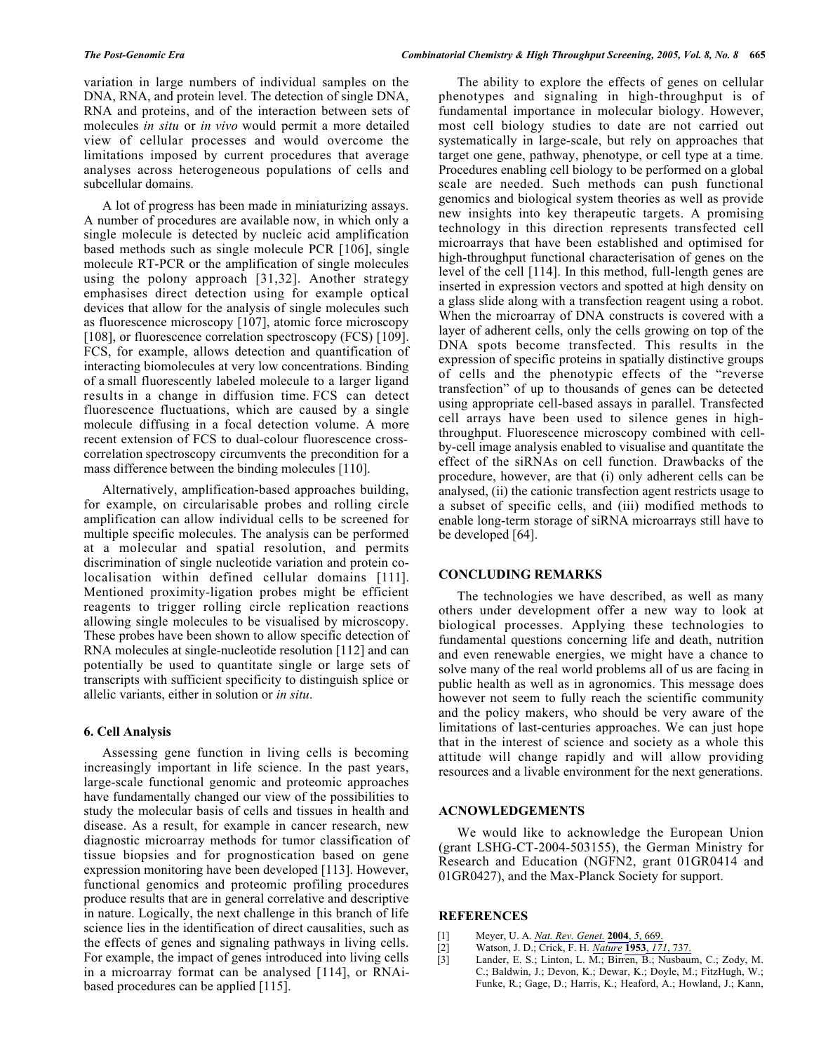variation in large numbers of individual samples on the DNA, RNA, and protein level. The detection of single DNA, RNA and proteins, and of the interaction between sets of molecules in situ or in vivo would permit a more detailed view of cellular processes and would overcome the limitations imposed by current procedures that average analyses across heterogeneous populations of cells and subcellular domains.

A lot of progress has been made in miniaturizing assays. A number of procedures are available now, in which only a single molecule is detected by nucleic acid amplification based methods such as single molecule PCR [106], single molecule RT-PCR or the amplification of single molecules using the polony approach [31,32]. Another strategy emphasises direct detection using for example optical devices that allow for the analysis of single molecules such as fluorescence microscopy [107], atomic force microscopy [108], or fluorescence correlation spectroscopy (FCS) [109]. FCS, for example, allows detection and quantification of interacting biomolecules at very low concentrations. Binding of a small fluorescently labeled molecule to a larger ligand results in a change in diffusion time. FCS can detect fluorescence fluctuations, which are caused by a single molecule diffusing in a focal detection volume. A more recent extension of FCS to dual-colour fluorescence crosscorrelation spectroscopy circumvents the precondition for a mass difference between the binding molecules [110].

Alternatively, amplification-based approaches building, for example, on circularisable probes and rolling circle amplification can allow individual cells to be screened for multiple specific molecules. The analysis can be performed at a molecular and spatial resolution, and permits discrimination of single nucleotide variation and protein colocalisation within defined cellular domains [111]. Mentioned proximity-ligation probes might be efficient reagents to trigger rolling circle replication reactions allowing single molecules to be visualised by microscopy. These probes have been shown to allow specific detection of RNA molecules at single-nucleotide resolution [112] and can potentially be used to quantitate single or large sets of transcripts with sufficient specificity to distinguish splice or allelic variants, either in solution or in situ.

## **6. Cell Analysis**

Assessing gene function in living cells is becoming increasingly important in life science. In the past years, large-scale functional genomic and proteomic approaches have fundamentally changed our view of the possibilities to study the molecular basis of cells and tissues in health and disease. As a result, for example in cancer research, new diagnostic microarray methods for tumor classification of tissue biopsies and for prognostication based on gene expression monitoring have been developed [113]. However, functional genomics and proteomic profiling procedures produce results that are in general correlative and descriptive in nature. Logically, the next challenge in this branch of life science lies in the identification of direct causalities, such as the effects of genes and signaling pathways in living cells. For example, the impact of genes introduced into living cells in a microarray format can be analysed [114], or RNAibased procedures can be applied [115].

The ability to explore the effects of genes on cellular phenotypes and signaling in high-throughput is of fundamental importance in molecular biology. However, most cell biology studies to date are not carried out systematically in large-scale, but rely on approaches that target one gene, pathway, phenotype, or cell type at a time. Procedures enabling cell biology to be performed on a global scale are needed. Such methods can push functional genomics and biological system theories as well as provide new insights into key therapeutic targets. A promising technology in this direction represents transfected cell microarrays that have been established and optimised for high-throughput functional characterisation of genes on the level of the cell [114]. In this method, full-length genes are inserted in expression vectors and spotted at high density on a glass slide along with a transfection reagent using a robot. When the microarray of DNA constructs is covered with a layer of adherent cells, only the cells growing on top of the DNA spots become transfected. This results in the expression of specific proteins in spatially distinctive groups of cells and the phenotypic effects of the "reverse" transfection" of up to thousands of genes can be detected using appropriate cell-based assays in parallel. Transfected cell arrays have been used to silence genes in highthroughput. Fluorescence microscopy combined with cellby-cell image analysis enabled to visualise and quantitate the effect of the siRNAs on cell function. Drawbacks of the procedure, however, are that (i) only adherent cells can be analysed, (ii) the cationic transfection agent restricts usage to a subset of specific cells, and (iii) modified methods to enable long-term storage of siRNA microarrays still have to be developed [64].

#### **CONCLUDING REMARKS**

The technologies we have described, as well as many others under development offer a new way to look at biological processes. Applying these technologies to fundamental questions concerning life and death, nutrition and even renewable energies, we might have a chance to solve many of the real world problems all of us are facing in public health as well as in agronomics. This message does however not seem to fully reach the scientific community and the policy makers, who should be very aware of the limitations of last-centuries approaches. We can just hope that in the interest of science and society as a whole this attitude will change rapidly and will allow providing resources and a livable environment for the next generations.

## **ACNOWLEDGEMENTS**

We would like to acknowledge the European Union (grant LSHG-CT-2004-503155), the German Ministry for Research and Education (NGFN2, grant 01GR0414 and 01GR0427), and the Max-Planck Society for support.

#### **REFERENCES**

- Meyer, U. A. Nat. Rev. Genet. 2004, 5, 669.  $[1]$
- Watson, J. D.; Crick, F. H. Nature 1953, 171, 737.  $[2]$
- $[3]$ Lander, E. S.; Linton, L. M.; Birren, B.; Nusbaum, C.; Zody, M. C.; Baldwin, J.; Devon, K.; Dewar, K.; Doyle, M.; FitzHugh, W.; Funke, R.; Gage, D.; Harris, K.; Heaford, A.; Howland, J.; Kann,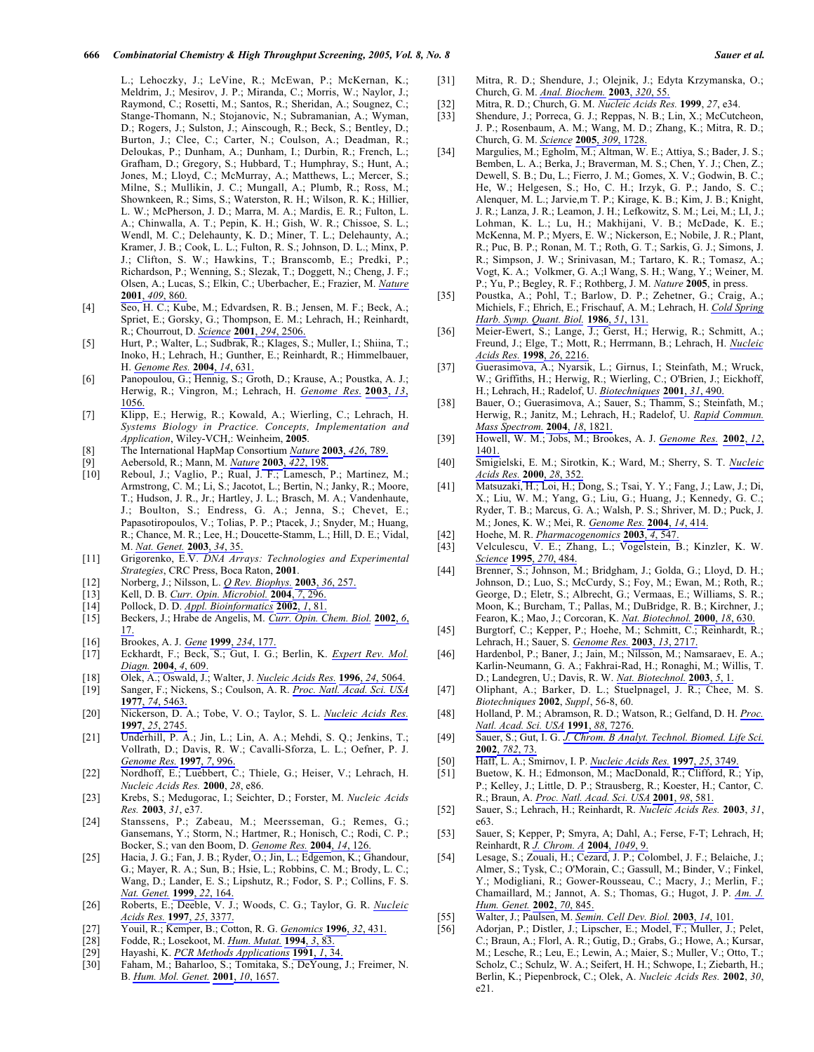L.; Lehoczky, J.; LeVine, R.; McEwan, P.; McKernan, K.; Meldrim, J.; Mesirov, J. P.; Miranda, C.; Morris, W.; Naylor, J.; Raymond, C.; Rosetti, M.; Santos, R.; Sheridan, A.; Sougnez, C.; Stange-Thomann, N.; Stojanovic, N.; Subramanian, A.; Wyman, D.; Rogers, J.; Sulston, J.; Ainscough, R.; Beck, S.; Bentley, D.; Burton, J.; Clee, C.; Carter, N.; Coulson, A.; Deadman, R.; Deloukas, P.; Dunham, A.; Dunham, I.; Durbin, R.; French, L.; Grafham, D.; Gregory, S.; Hubbard, T.; Humphray, S.; Hunt, A.; Jones, M.; Lloyd, C.; McMurray, A.; Matthews, L.; Mercer, S.; Milne, S.; Mullikin, J. C.; Mungall, A.; Plumb, R.; Ross, M.; Shownkeen, R.; Sims, S.; Waterston, R. H.; Wilson, R. K.; Hillier, L. W.; McPherson, J. D.; Marra, M. A.; Mardis, E. R.; Fulton, L. A.; Chinwalla, A. T.; Pepin, K. H.; Gish, W. R.; Chissoe, S. L.; Wendl, M. C.; Delehaunty, K. D.; Miner, T. L.; Delehaunty, A.; Kramer, J. B.; Cook, L. L.; Fulton, R. S.; Johnson, D. L.; Minx, P. J.; Clifton, S. W.; Hawkins, T.; Branscomb, E.; Predki, P.; Richardson, P.; Wenning, S.; Slezak, T.; Doggett, N.; Cheng, J. F.; Olsen, A.; Lucas, S.; Elkin, C.; Uberbacher, E.; Frazier, M. Nature 2001, 409, 860.

- $[4]$ Seo, H. C.; Kube, M.; Edvardsen, R. B.; Jensen, M. F.; Beck, A.; Spriet, E.; Gorsky, G.; Thompson, E. M.; Lehrach, H.; Reinhardt, R.; Chourrout, D. Science 2001, 294, 2506.
- Hurt, P.; Walter, L.; Sudbrak, R.; Klages, S.; Muller, I.; Shiina, T.;  $[5]$ Inoko, H.; Lehrach, H.; Gunther, E.; Reinhardt, R.; Himmelbauer, H. Genome Res. 2004, 14, 631.
- Panopoulou, G.; Hennig, S.; Groth, D.; Krause, A.; Poustka, A. J.;  $[6]$ Herwig, R.; Vingron, M.; Lehrach, H. Genome Res. 2003, 13, 1056.
- Klipp, E.; Herwig, R.; Kowald, A.; Wierling, C.; Lehrach, H.  $[7]$ Systems Biology in Practice. Concepts, Implementation and Application, Wiley-VCH,: Weinheim, 2005.
- $[8]$ The International HapMap Consortium Nature 2003, 426, 789.
- $[9]$ Aebersold, R.; Mann, M. Nature 2003, 422, 198.
- $\overline{1}\overline{0}$ Reboul, J.; Vaglio, P.; Rual, J. F.; Lamesch, P.; Martinez, M.; Armstrong, C. M.; Li, S.; Jacotot, L.; Bertin, N.; Janky, R.; Moore, T.; Hudson, J. R., Jr.; Hartley, J. L.; Brasch, M. A.; Vandenhaute, J.; Boulton, S.; Endress, G. A.; Jenna, S.; Chevet, E.; Papasotiropoulos, V.; Tolias, P. P.; Ptacek, J.; Snyder, M.; Huang, R.; Chance, M. R.; Lee, H.; Doucette-Stamm, L.; Hill, D. E.; Vidal, M. Nat. Genet. 2003, 34, 35.
- Grigorenko, E.V. DNA Arrays: Technologies and Experimental  $[11]$ Strategies, CRC Press, Boca Raton, 2001.
- Norberg, J.; Nilsson, L. Q Rev. Biophys. 2003, 36, 257.  $[12]$
- Kell, D. B. Curr. Opin. Microbiol. 2004, 7, 296.  $[13]$
- $[14]$ Pollock, D. D. Appl. Bioinformatics 2002, 1, 81.
- $[15]$ Beckers, J.; Hrabe de Angelis, M. Curr. Opin. Chem. Biol. 2002, 6, 17.
- $[16]$ Brookes, A. J. Gene 1999, 234, 177.
- $[17]$ Eckhardt, F.; Beck, S.; Gut, I. G.; Berlin, K. Expert Rev. Mol. Diagn. 2004, 4, 609.
- $[18]$ Olek, A.; Oswald, J.; Walter, J. Nucleic Acids Res. 1996, 24, 5064.
- $[19]$ Sanger, F.; Nickens, S.; Coulson, A. R. Proc. Natl. Acad. Sci. USA 1977. 74. 5463.
- $[20]$ Nickerson, D. A.; Tobe, V. O.; Taylor, S. L. Nucleic Acids Res. 1997, 25, 2745.
- $[21]$ Underhill, P. A.; Jin, L.; Lin, A. A.; Mehdi, S. Q.; Jenkins, T.; Vollrath, D.; Davis, R. W.; Cavalli-Sforza, L. L.; Oefner, P. J. Genome Res. 1997, 7, 996.
- $[22]$ Nordhoff, E.; Luebbert, C.; Thiele, G.; Heiser, V.; Lehrach, H. Nucleic Acids Res. 2000, 28, e86.
- Krebs, S.; Medugorac, I.; Seichter, D.; Forster, M. Nucleic Acids  $\lceil 23 \rceil$ Res. 2003, 31, e37.
- $\lceil 24 \rceil$ Stanssens, P.; Zabeau, M.; Meersseman, G.; Remes, G.; Gansemans, Y.; Storm, N.; Hartmer, R.; Honisch, C.; Rodi, C. P.; Bocker, S.; van den Boom, D. Genome Res. 2004, 14, 126.
- Hacia, J. G.; Fan, J. B.; Ryder, O.; Jin, L.; Edgemon, K.; Ghandour,  $\lceil 25 \rceil$ G.; Mayer, R. A.; Sun, B.; Hsie, L.; Robbins, C. M.; Brody, L. C.; Wang, D.; Lander, E. S.; Lipshutz, R.; Fodor, S. P.; Collins, F. S. Nat. Genet. 1999, 22, 164.
- $[26]$ Roberts, E.; Deeble, V. J.; Woods, C. G.; Taylor, G. R. Nucleic Acids Res. 1997, 25, 3377.
- $[27]$ Youil, R.; Kemper, B.; Cotton, R. G. Genomics 1996, 32, 431.
- Fodde, R.; Losekoot, M. *Hum. Mutat.* 1994, 3, 83.  $[28]$
- $[29]$ Hayashi, K. PCR Methods Applications 1991, 1, 34.
- $[30]$ Faham, M.; Baharloo, S.; Tomitaka, S.; DeYoung, J.; Freimer, N. B. Hum. Mol. Genet. 2001, 10, 1657.
- Mitra, R. D.; Shendure, J.; Olejnik, J.; Edyta Krzymanska, O.;  $[31]$ Church, G. M. Anal. Biochem. 2003, 320, 55.
- $[32]$ Mitra, R. D.; Church, G. M. Nucleic Acids Res. 1999, 27, e34.
- $\overline{33}$ ] Shendure, J.; Porreca, G. J.; Reppas, N. B.; Lin, X.; McCutcheon, J. P.; Rosenbaum, A. M.; Wang, M. D.; Zhang, K.; Mitra, R. D.; Church, G. M. Science 2005, 309, 1728.
- Margulies, M.; Egholm, M.; Altman, W. E.; Attiya, S.; Bader, J. S.;  $[34]$ Bemben, L. A.; Berka, J.; Braverman, M. S.; Chen, Y. J.; Chen, Z.; Dewell, S. B.; Du, L.; Fierro, J. M.; Gomes, X. V.; Godwin, B. C.; He, W.; Helgesen, S.; Ho, C. H.; Irzyk, G. P.; Jando, S. C.; Alenquer, M. L.; Jarvie,m T. P.; Kirage, K. B.; Kim, J. B.; Knight, J. R.; Lanza, J. R.; Leamon, J. H.; Lefkowitz, S. M.; Lei, M.; LI, J.; Lohman, K. L.; Lu, H.; Makhijani, V. B.; McDade, K. E.; McKenna, M. P.; Myers, E. W.; Nickerson, E.; Nobile, J. R.; Plant, R.; Puc, B. P.; Ronan, M. T.; Roth, G. T.; Sarkis, G. J.; Simons, J. R.; Simpson, J. W.; Srinivasan, M.; Tartaro, K. R.; Tomasz, A.; Vogt, K. A.; Volkmer, G. A.; l Wang, S. H.; Wang, Y.; Weiner, M. P.; Yu, P.; Begley, R. F.; Rothberg, J. M. Nature 2005, in press.
- Poustka, A.; Pohl, T.; Barlow, D. P.; Zehetner, G.; Craig, A.;  $[35]$ Michiels, F.; Ehrich, E.; Frischauf, A. M.; Lehrach, H. Cold Spring Harb. Symp. Quant. Biol. 1986, 51, 131.
- $[36]$ Meier-Ewert, S.; Lange, J.; Gerst, H.; Herwig, R.; Schmitt, A.; Freund, J.; Elge, T.; Mott, R.; Herrmann, B.; Lehrach, H. Nucleic Acids Res. 1998, 26, 2216.
- $[37]$ Guerasimova, A.; Nyarsik, L.; Girnus, I.; Steinfath, M.; Wruck, W.; Griffiths, H.; Herwig, R.; Wierling, C.; O'Brien, J.; Eickhoff, H.; Lehrach, H.; Radelof, U. Biotechniques 2001, 31, 490.
- $[38]$ Bauer, O.; Guerasimova, A.; Sauer, S.; Thamm, S.; Steinfath, M.; Herwig, R.; Janitz, M.; Lehrach, H.; Radelof, U. Rapid Commun. Mass Spectrom. 2004, 18, 1821.
- Howell, W. M.; Jobs, M.; Brookes, A. J. Genome Res. 2002, 12,  $[39]$ 1401.
- Smigielski, E. M.; Sirotkin, K.; Ward, M.; Sherry, S. T. Nucleic  $[40]$ Acids Res. 2000, 28, 352.
- $[41]$ Matsuzaki, H.; Loi, H.; Dong, S.; Tsai, Y. Y.; Fang, J.; Law, J.; Di, X.; Liu, W. M.; Yang, G.; Liu, G.; Huang, J.; Kennedy, G. C.; Ryder, T. B.; Marcus, G. A.; Walsh, P. S.; Shriver, M. D.; Puck, J. M.; Jones, K. W.; Mei, R. Genome Res. 2004, 14, 414.
- Hoehe, M. R. Pharmacogenomics 2003, 4, 547.  $[42]$
- $[43]$ Velculescu, V. E.; Zhang, L.; Vogelstein, B.; Kinzler, K. W. Science 1995, 270, 484.
- $[44]$ Brenner, S.; Johnson, M.; Bridgham, J.; Golda, G.; Lloyd, D. H.; Johnson, D.; Luo, S.; McCurdy, S.; Foy, M.; Ewan, M.; Roth, R.; George, D.; Eletr, S.; Albrecht, G.; Vermaas, E.; Williams, S. R.; Moon, K.; Burcham, T.; Pallas, M.; DuBridge, R. B.; Kirchner, J.; Fearon, K.; Mao, J.; Corcoran, K. Nat. Biotechnol. 2000, 18, 630.
- $[45]$ Burgtorf, C.; Kepper, P.; Hoehe, M.; Schmitt, C.; Reinhardt, R.; Lehrach, H.; Sauer, S. Genome Res. 2003, 13, 2717.
- $[46]$ Hardenbol, P.; Baner, J.; Jain, M.; Nilsson, M.; Namsaraev, E. A.; Karlin-Neumann, G. A.; Fakhrai-Rad, H.; Ronaghi, M.; Willis, T. D.; Landegren, U.; Davis, R. W. Nat. Biotechnol. 2003, 5, 1.
- $[47]$ Oliphant, A.; Barker, D. L.; Stuelpnagel, J. R.; Chee, M. S. Biotechniques 2002, Suppl, 56-8, 60.
- $[48]$ Holland, P. M.; Abramson, R. D.; Watson, R.; Gelfand, D. H. Proc. Natl. Acad. Sci. USA 1991, 88, 7276.
- Sauer, S.; Gut, I. G. J. Chrom. B Analyt. Technol. Biomed. Life Sci.  $[49]$ 2002, 782, 73.
- Haff, L. A.; Smirnov, I. P. Nucleic Acids Res. 1997, 25, 3749. [50]
- $[51]$ Buetow, K. H.; Edmonson, M.; MacDonald, R.; Clifford, R.; Yip, P.; Kelley, J.; Little, D. P.; Strausberg, R.; Koester, H.; Cantor, C. R.; Braun, A. Proc. Natl. Acad. Sci. USA 2001, 98, 581.
- Sauer, S.; Lehrach, H.; Reinhardt, R. Nucleic Acids Res. 2003, 31,  $[52]$ e<sub>63</sub>.
- $[53]$ Sauer, S; Kepper, P; Smyra, A; Dahl, A.; Ferse, F-T; Lehrach, H; Reinhardt, R.J. Chrom. A 2004, 1049, 9.
- $[54]$ Lesage, S.; Zouali, H.; Cezard, J. P.; Colombel, J. F.; Belaiche, J.; Almer, S.; Tysk, C.; O'Morain, C.; Gassull, M.; Binder, V.; Finkel, Y.; Modigliani, R.; Gower-Rousseau, C.; Macry, J.; Merlin, F.; Chamaillard, M.; Jannot, A. S.; Thomas, G.; Hugot, J. P. Am. J. Hum. Genet. 2002, 70, 845.
- $[55]$ Walter, J.; Paulsen, M. Semin. Cell Dev. Biol. 2003, 14, 101.
- Adorjan, P.; Distler, J.; Lipscher, E.; Model, F.; Muller, J.; Pelet,  $[56]$ C.; Braun, A.; Florl, A. R.; Gutig, D.; Grabs, G.; Howe, A.; Kursar, M.; Lesche, R.; Leu, E.; Lewin, A.; Maier, S.; Muller, V.; Otto, T.; Scholz, C.; Schulz, W. A.; Seifert, H. H.; Schwope, I.; Ziebarth, H.; Berlin, K.; Piepenbrock, C.; Olek, A. Nucleic Acids Res. 2002, 30,  $e21.$